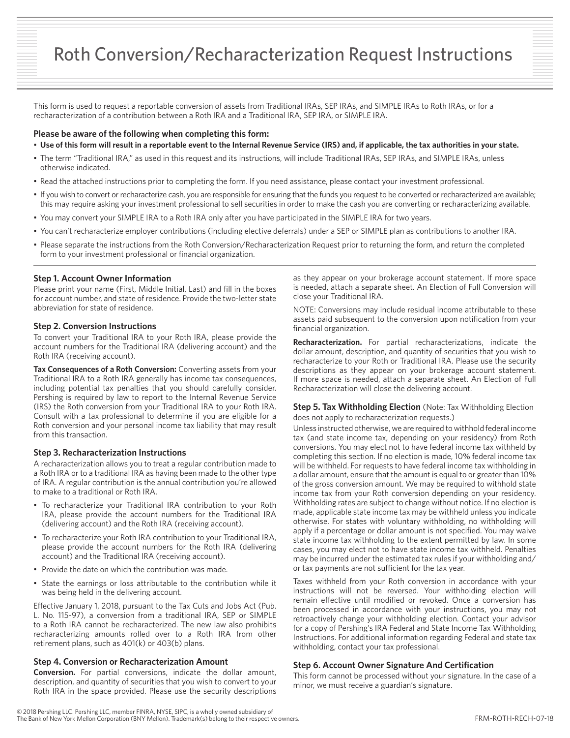# Roth Conversion/Recharacterization Request Instructions

This form is used to request a reportable conversion of assets from Traditional IRAs, SEP IRAs, and SIMPLE IRAs to Roth IRAs, or for a recharacterization of a contribution between a Roth IRA and a Traditional IRA, SEP IRA, or SIMPLE IRA.

## **Please be aware of the following when completing this form:**

- **Use of this form will result in a reportable event to the Internal Revenue Service (IRS) and, if applicable, the tax authorities in your state.**
- The term "Traditional IRA," as used in this request and its instructions, will include Traditional IRAs, SEP IRAs, and SIMPLE IRAs, unless otherwise indicated.
- Read the attached instructions prior to completing the form. If you need assistance, please contact your investment professional.
- If you wish to convert or recharacterize cash, you are responsible for ensuring that the funds you request to be converted or recharacterized are available; this may require asking your investment professional to sell securities in order to make the cash you are converting or recharacterizing available.
- You may convert your SIMPLE IRA to a Roth IRA only after you have participated in the SIMPLE IRA for two years.
- You can't recharacterize employer contributions (including elective deferrals) under a SEP or SIMPLE plan as contributions to another IRA.
- Please separate the instructions from the Roth Conversion/Recharacterization Request prior to returning the form, and return the completed form to your investment professional or financial organization.

## **Step 1. Account Owner Information**

Please print your name (First, Middle Initial, Last) and fill in the boxes for account number, and state of residence. Provide the two-letter state abbreviation for state of residence.

#### **Step 2. Conversion Instructions**

To convert your Traditional IRA to your Roth IRA, please provide the account numbers for the Traditional IRA (delivering account) and the Roth IRA (receiving account).

**Tax Consequences of a Roth Conversion:** Converting assets from your Traditional IRA to a Roth IRA generally has income tax consequences, including potential tax penalties that you should carefully consider. Pershing is required by law to report to the Internal Revenue Service (IRS) the Roth conversion from your Traditional IRA to your Roth IRA. Consult with a tax professional to determine if you are eligible for a Roth conversion and your personal income tax liability that may result from this transaction.

#### **Step 3. Recharacterization Instructions**

A recharacterization allows you to treat a regular contribution made to a Roth IRA or to a traditional IRA as having been made to the other type of IRA. A regular contribution is the annual contribution you're allowed to make to a traditional or Roth IRA.

- To recharacterize your Traditional IRA contribution to your Roth IRA, please provide the account numbers for the Traditional IRA (delivering account) and the Roth IRA (receiving account).
- To recharacterize your Roth IRA contribution to your Traditional IRA, please provide the account numbers for the Roth IRA (delivering account) and the Traditional IRA (receiving account).
- Provide the date on which the contribution was made.
- State the earnings or loss attributable to the contribution while it was being held in the delivering account.

Effective January 1, 2018, pursuant to the Tax Cuts and Jobs Act (Pub. L. No. 115-97), a conversion from a traditional IRA, SEP or SIMPLE to a Roth IRA cannot be recharacterized. The new law also prohibits recharacterizing amounts rolled over to a Roth IRA from other retirement plans, such as 401(k) or 403(b) plans.

### **Step 4. Conversion or Recharacterization Amount**

**Conversion.** For partial conversions, indicate the dollar amount, description, and quantity of securities that you wish to convert to your Roth IRA in the space provided. Please use the security descriptions as they appear on your brokerage account statement. If more space is needed, attach a separate sheet. An Election of Full Conversion will close your Traditional IRA.

NOTE: Conversions may include residual income attributable to these assets paid subsequent to the conversion upon notification from your financial organization.

**Recharacterization.** For partial recharacterizations, indicate the dollar amount, description, and quantity of securities that you wish to recharacterize to your Roth or Traditional IRA. Please use the security descriptions as they appear on your brokerage account statement. If more space is needed, attach a separate sheet. An Election of Full Recharacterization will close the delivering account.

## **Step 5. Tax Withholding Election** (Note: Tax Withholding Election does not apply to recharacterization requests.)

Unless instructed otherwise, we are required to withhold federal income tax (and state income tax, depending on your residency) from Roth conversions. You may elect not to have federal income tax withheld by completing this section. If no election is made, 10% federal income tax will be withheld. For requests to have federal income tax withholding in a dollar amount, ensure that the amount is equal to or greater than 10% of the gross conversion amount. We may be required to withhold state income tax from your Roth conversion depending on your residency. Withholding rates are subject to change without notice. If no election is made, applicable state income tax may be withheld unless you indicate otherwise. For states with voluntary withholding, no withholding will apply if a percentage or dollar amount is not specified. You may waive state income tax withholding to the extent permitted by law. In some cases, you may elect not to have state income tax withheld. Penalties may be incurred under the estimated tax rules if your withholding and/ or tax payments are not sufficient for the tax year.

Taxes withheld from your Roth conversion in accordance with your instructions will not be reversed. Your withholding election will remain effective until modified or revoked. Once a conversion has been processed in accordance with your instructions, you may not retroactively change your withholding election. Contact your advisor for a copy of Pershing's IRA Federal and State Income Tax Withholding Instructions. For additional information regarding Federal and state tax withholding, contact your tax professional.

## **Step 6. Account Owner Signature And Certification**

This form cannot be processed without your signature. In the case of a minor, we must receive a guardian's signature.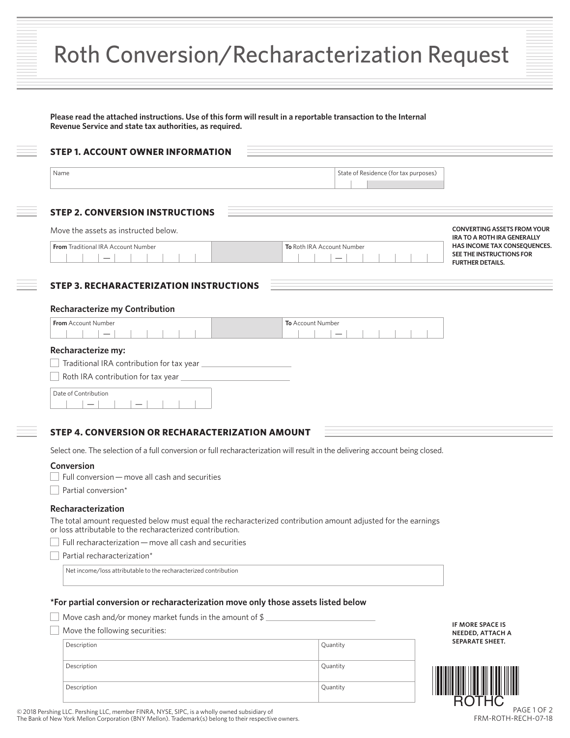|  | Roth Conversion/Recharacterization Request |  |  |  |  |  |
|--|--------------------------------------------|--|--|--|--|--|
|--|--------------------------------------------|--|--|--|--|--|

| Name                                                                                                                                                                       | State of Residence (for tax purposes) |                                                                                     |
|----------------------------------------------------------------------------------------------------------------------------------------------------------------------------|---------------------------------------|-------------------------------------------------------------------------------------|
| <b>STEP 2. CONVERSION INSTRUCTIONS</b>                                                                                                                                     |                                       |                                                                                     |
| Move the assets as instructed below.                                                                                                                                       |                                       | <b>CONVERTING ASSETS FROM YOUR</b><br>IRA TO A ROTH IRA GENERALLY                   |
| From Traditional IRA Account Number<br>$\qquad \qquad -$                                                                                                                   | To Roth IRA Account Number            | HAS INCOME TAX CONSEQUENCES.<br>SEE THE INSTRUCTIONS FOR<br><b>FURTHER DETAILS.</b> |
| <b>STEP 3. RECHARACTERIZATION INSTRUCTIONS</b>                                                                                                                             |                                       |                                                                                     |
| <b>Recharacterize my Contribution</b>                                                                                                                                      |                                       |                                                                                     |
| From Account Number                                                                                                                                                        | To Account Number                     |                                                                                     |
| Recharacterize my:                                                                                                                                                         |                                       |                                                                                     |
|                                                                                                                                                                            |                                       |                                                                                     |
|                                                                                                                                                                            |                                       |                                                                                     |
| Date of Contribution                                                                                                                                                       |                                       |                                                                                     |
| STEP 4. CONVERSION OR RECHARACTERIZATION AMOUNT                                                                                                                            |                                       |                                                                                     |
| Select one. The selection of a full conversion or full recharacterization will result in the delivering account being closed.                                              |                                       |                                                                                     |
|                                                                                                                                                                            |                                       |                                                                                     |
| Conversion                                                                                                                                                                 |                                       |                                                                                     |
| Full conversion - move all cash and securities                                                                                                                             |                                       |                                                                                     |
| Partial conversion*                                                                                                                                                        |                                       |                                                                                     |
| Recharacterization                                                                                                                                                         |                                       |                                                                                     |
| The total amount requested below must equal the recharacterized contribution amount adjusted for the earnings<br>or loss attributable to the recharacterized contribution. |                                       |                                                                                     |
| Full recharacterization - move all cash and securities                                                                                                                     |                                       |                                                                                     |
| Partial recharacterization*                                                                                                                                                |                                       |                                                                                     |
| Net income/loss attributable to the recharacterized contribution                                                                                                           |                                       |                                                                                     |
| *For partial conversion or recharacterization move only those assets listed below                                                                                          |                                       |                                                                                     |
|                                                                                                                                                                            |                                       |                                                                                     |
| Move cash and/or money market funds in the amount of \$ $\_$<br>Move the following securities:                                                                             |                                       | IF MORE SPACE IS<br><b>NEEDED, ATTACH A</b>                                         |
| Description                                                                                                                                                                | Quantity                              | SEPARATE SHEET.                                                                     |
| Description                                                                                                                                                                | Quantity                              |                                                                                     |

© 2018 Pershing LLC. Pershing LLC, member FINRA, NYSE, SIPC, is a wholly owned subsidiary of The Bank of New York Mellon Corporation (BNY Mellon). Trademark(s) belong to their respective owners.